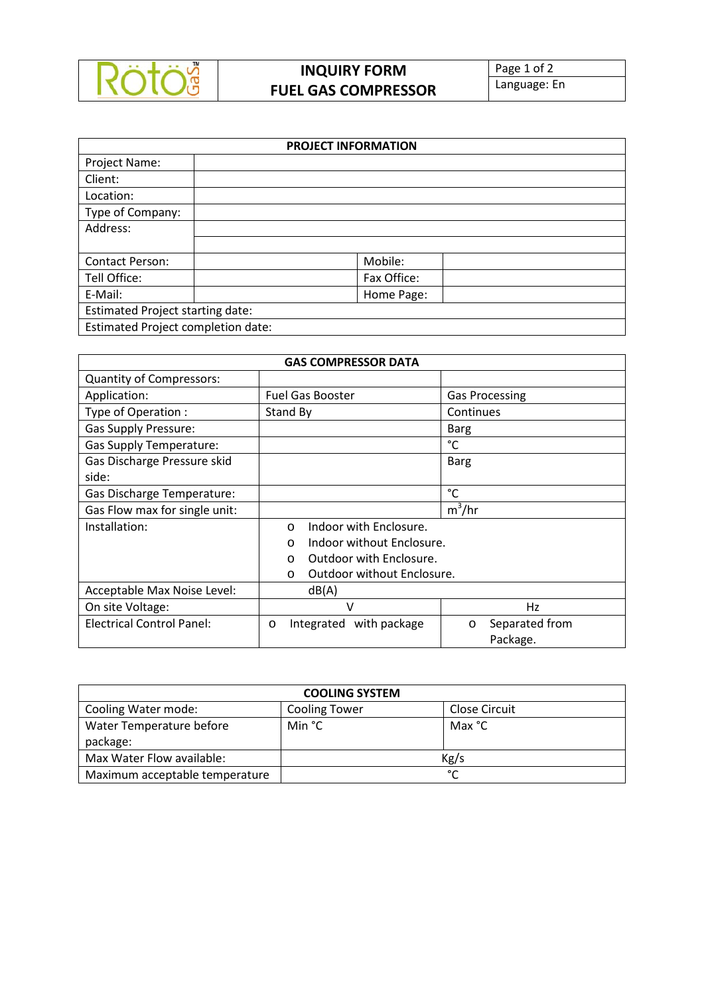

## **INQUIRY FORM FUEL GAS COMPRESSOR**

Page 1 of 2 Language: En

| <b>PROJECT INFORMATION</b>              |  |             |  |  |  |
|-----------------------------------------|--|-------------|--|--|--|
| Project Name:                           |  |             |  |  |  |
| Client:                                 |  |             |  |  |  |
| Location:                               |  |             |  |  |  |
| Type of Company:                        |  |             |  |  |  |
| Address:                                |  |             |  |  |  |
|                                         |  |             |  |  |  |
| Contact Person:                         |  | Mobile:     |  |  |  |
| Tell Office:                            |  | Fax Office: |  |  |  |
| E-Mail:                                 |  | Home Page:  |  |  |  |
| <b>Estimated Project starting date:</b> |  |             |  |  |  |
| Estimated Project completion date:      |  |             |  |  |  |

| <b>GAS COMPRESSOR DATA</b>       |                                        |                           |  |  |  |  |  |
|----------------------------------|----------------------------------------|---------------------------|--|--|--|--|--|
| <b>Quantity of Compressors:</b>  |                                        |                           |  |  |  |  |  |
| Application:                     | <b>Fuel Gas Booster</b>                | <b>Gas Processing</b>     |  |  |  |  |  |
| Type of Operation :              | Stand By                               | Continues                 |  |  |  |  |  |
| <b>Gas Supply Pressure:</b>      |                                        | <b>Barg</b>               |  |  |  |  |  |
| <b>Gas Supply Temperature:</b>   |                                        | °C                        |  |  |  |  |  |
| Gas Discharge Pressure skid      |                                        | Barg                      |  |  |  |  |  |
| side:                            |                                        |                           |  |  |  |  |  |
| Gas Discharge Temperature:       |                                        | °C                        |  |  |  |  |  |
| Gas Flow max for single unit:    |                                        | $m^3/hr$                  |  |  |  |  |  |
| Installation:                    | Indoor with Enclosure.<br>$\Omega$     |                           |  |  |  |  |  |
|                                  | Indoor without Enclosure.<br>$\Omega$  |                           |  |  |  |  |  |
|                                  | Outdoor with Enclosure.<br>$\Omega$    |                           |  |  |  |  |  |
|                                  | Outdoor without Enclosure.<br>$\Omega$ |                           |  |  |  |  |  |
| Acceptable Max Noise Level:      | dB(A)                                  |                           |  |  |  |  |  |
| On site Voltage:<br>v            |                                        | Hz                        |  |  |  |  |  |
| <b>Electrical Control Panel:</b> | Integrated with package<br>$\circ$     | Separated from<br>$\circ$ |  |  |  |  |  |
|                                  |                                        | Package.                  |  |  |  |  |  |

| <b>COOLING SYSTEM</b>          |                      |                      |  |  |  |
|--------------------------------|----------------------|----------------------|--|--|--|
| Cooling Water mode:            | <b>Cooling Tower</b> | <b>Close Circuit</b> |  |  |  |
| Water Temperature before       | Min °C               | Max °C               |  |  |  |
| package:                       |                      |                      |  |  |  |
| Max Water Flow available:      | Kg/s                 |                      |  |  |  |
| Maximum acceptable temperature | $\mathcal{C}$        |                      |  |  |  |